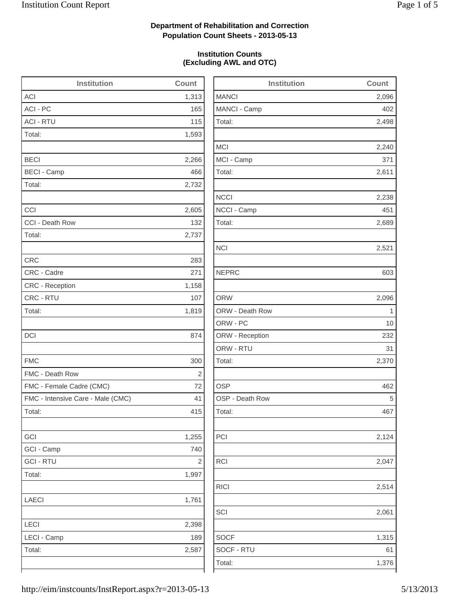2,498

2,240

2,238

2,689

2,124

2,514

1,315

## **Department of Rehabilitation and Correction Population Count Sheets - 2013-05-13**

### **Institution Counts (Excluding AWL and OTC)**

| <b>Institution</b>                | Count                   | <b>Institution</b> | Count        |
|-----------------------------------|-------------------------|--------------------|--------------|
| <b>ACI</b>                        | 1,313                   | <b>MANCI</b>       | 2,096        |
| ACI - PC                          | 165                     | MANCI - Camp       | 402          |
| <b>ACI - RTU</b>                  | 115                     | Total:             | 2,498        |
| Total:                            | 1,593                   |                    |              |
|                                   |                         | <b>MCI</b>         | 2,240        |
| <b>BECI</b>                       | 2,266                   | MCI - Camp         | 371          |
| <b>BECI - Camp</b>                | 466                     | Total:             | 2,611        |
| Total:                            | 2,732                   |                    |              |
|                                   |                         | <b>NCCI</b>        | 2,238        |
| CCI                               | 2,605                   | NCCI - Camp        | 451          |
| CCI - Death Row                   | 132                     | Total:             | 2,689        |
| Total:                            | 2,737                   |                    |              |
|                                   |                         | <b>NCI</b>         | 2,521        |
| <b>CRC</b>                        | 283                     |                    |              |
| CRC - Cadre                       | 271                     | <b>NEPRC</b>       | 603          |
| <b>CRC</b> - Reception            | 1,158                   |                    |              |
| CRC - RTU                         | 107                     | <b>ORW</b>         | 2,096        |
| Total:                            | 1,819                   | ORW - Death Row    | $\mathbf{1}$ |
|                                   |                         | ORW - PC           | 10           |
| DCI                               | 874                     | ORW - Reception    | 232          |
|                                   |                         | ORW - RTU          | 31           |
| <b>FMC</b>                        | 300                     | Total:             | 2,370        |
| FMC - Death Row                   | 2                       |                    |              |
| FMC - Female Cadre (CMC)          | 72                      | <b>OSP</b>         | 462          |
| FMC - Intensive Care - Male (CMC) | 41                      | OSP - Death Row    | 5            |
| Total:                            | 415                     | Total:             | 467          |
| GCI                               | 1,255                   | PCI                | 2,124        |
| GCI - Camp                        | 740                     |                    |              |
| <b>GCI - RTU</b>                  | $\overline{\mathbf{c}}$ | <b>RCI</b>         | 2,047        |
| Total:                            | 1,997                   |                    |              |
|                                   |                         | <b>RICI</b>        | 2,514        |
| <b>LAECI</b>                      | 1,761                   |                    |              |
|                                   |                         | SCI                | 2,061        |
| <b>LECI</b>                       | 2,398                   |                    |              |
| LECI - Camp                       | 189                     | <b>SOCF</b>        | 1,315        |
| Total:                            | 2,587                   | SOCF - RTU         | 61           |
|                                   |                         | Total:             | 1,376        |
|                                   |                         |                    |              |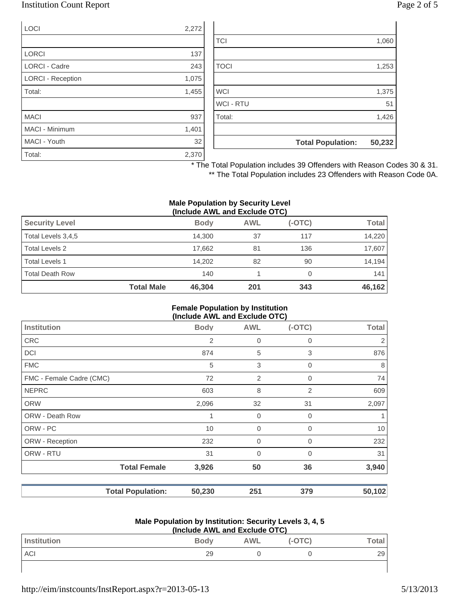## Institution Count Report Page 2 of 5

| LOCI                 | 2,272 |
|----------------------|-------|
|                      |       |
| <b>LORCI</b>         | 137   |
| <b>LORCI - Cadre</b> | 243   |
| LORCI - Reception    | 1,075 |
| Total:               | 1,455 |
|                      |       |
| <b>MACI</b>          | 937   |
| MACI - Minimum       | 1,401 |
| MACI - Youth         | 32    |
| Total:               | 2,370 |

|                  | <b>Total Population:</b> | 50,232 |
|------------------|--------------------------|--------|
| Total:           |                          | 1,426  |
| <b>WCI - RTU</b> |                          | 51     |
| <b>WCI</b>       |                          | 1,375  |
|                  |                          |        |
| <b>TOCI</b>      |                          | 1,253  |
| <b>TCI</b>       |                          | 1,060  |
|                  |                          |        |

\* The Total Population includes 39 Offenders with Reason Codes 30 & 31.

\*\* The Total Population includes 23 Offenders with Reason Code 0A.

#### **Male Population by Security Level (Include AWL and Exclude OTC)**

| $\frac{1}{2}$ . The contract of $\frac{1}{2}$ |                   |             |            |          |              |
|-----------------------------------------------|-------------------|-------------|------------|----------|--------------|
| <b>Security Level</b>                         |                   | <b>Body</b> | <b>AWL</b> | $(-OTC)$ | <b>Total</b> |
| Total Levels 3,4,5                            |                   | 14.300      | 37         | 117      | 14,220       |
| Total Levels 2                                |                   | 17.662      | 81         | 136      | 17,607       |
| Total Levels 1                                |                   | 14.202      | 82         | 90       | 14,194       |
| Total Death Row                               |                   | 140         |            |          | 141          |
|                                               | <b>Total Male</b> | 46,304      | 201        | 343      | 46,162       |

#### **Female Population by Institution (Include AWL and Exclude OTC)**

| $(110144C)$ and $210144C$          |             |             |              |
|------------------------------------|-------------|-------------|--------------|
| <b>Body</b>                        | <b>AWL</b>  | $(-OTC)$    | <b>Total</b> |
| 2                                  | $\mathbf 0$ | 0           | 2            |
| 874                                | 5           | 3           | 876          |
| 5                                  | 3           | 0           | 8            |
| 72                                 | 2           | $\mathbf 0$ | 74           |
| 603                                | 8           | 2           | 609          |
| 2,096                              | 32          | 31          | 2,097        |
| 1                                  | $\mathbf 0$ | 0           |              |
| 10                                 | $\mathbf 0$ | $\Omega$    | 10           |
| 232                                | $\mathbf 0$ | 0           | 232          |
| 31                                 | $\mathbf 0$ | $\Omega$    | 31           |
| <b>Total Female</b><br>3,926       | 50          | 36          | 3,940        |
| <b>Total Population:</b><br>50,230 | 251         | 379         | 50,102       |
|                                    |             |             |              |

#### **Male Population by Institution: Security Levels 3, 4, 5 (Include AWL and Exclude OTC)**

| (include AVVL and Exclude OTC) |             |            |        |         |
|--------------------------------|-------------|------------|--------|---------|
| Institution                    | <b>Body</b> | <b>AWL</b> | (-OTC) | ™otal ∟ |
| ACI                            | 29          |            |        | 29      |
|                                |             |            |        |         |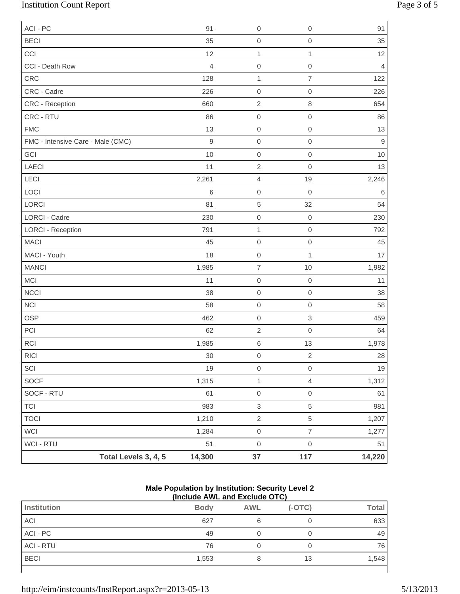# Institution Count Report Page 3 of 5

| Total Levels 3, 4, 5                 | 14,300               | $37\,$                          | 117                 | 14,220               |
|--------------------------------------|----------------------|---------------------------------|---------------------|----------------------|
| WCI - RTU                            | 51                   | $\mbox{O}$                      | $\mathbf 0$         | 51                   |
| WCI                                  | 1,284                | $\mathsf{O}\xspace$             | $\overline{7}$      | 1,277                |
| <b>TOCI</b>                          | 1,210                | $\sqrt{2}$                      | 5                   | 1,207                |
| <b>TCI</b>                           | 983                  | $\ensuremath{\mathsf{3}}$       | 5                   | 981                  |
| SOCF - RTU                           | 61                   | $\mathbf 0$                     | $\mathsf{O}\xspace$ | 61                   |
| SOCF                                 | 1,315                | $\mathbf 1$                     | $\overline{4}$      | 1,312                |
| SCI                                  | 19                   | $\mbox{O}$                      | $\mathsf{O}\xspace$ | 19                   |
| $\ensuremath{\mathsf{R}\mathsf{IC}}$ | $30\,$               | $\mathbf 0$                     | $\overline{2}$      | 28                   |
| <b>RCI</b>                           | 1,985                | $\,6\,$                         | 13                  | 1,978                |
| PCI                                  | 62                   | $\sqrt{2}$                      | $\mathbf 0$         | 64                   |
| <b>OSP</b>                           | 462                  | $\mathbf 0$                     | $\,$ 3 $\,$         | 459                  |
| <b>NCI</b>                           | 58                   | $\mbox{O}$                      | $\mathbf 0$         | 58                   |
| <b>NCCI</b>                          | 38                   | $\mathbf 0$                     | $\mathbf 0$         | 38                   |
| MCI                                  | 11                   | $\mbox{O}$                      | $\mathbf 0$         | 11                   |
| <b>MANCI</b>                         | 1,985                | $\overline{\mathcal{I}}$        | 10                  | 1,982                |
| MACI - Youth                         | 18                   | $\mathbf 0$                     | $\mathbf 1$         | 17                   |
| <b>MACI</b>                          | 45                   | $\mbox{O}$                      | $\mathbf 0$         | 45                   |
| <b>LORCI - Reception</b>             | 791                  | $\mathbf{1}$                    | $\mathbf 0$         | 792                  |
| <b>LORCI - Cadre</b>                 | 230                  | $\mbox{O}$                      | $\mathbf 0$         | 230                  |
| LORCI                                | 81                   | $\,$ 5 $\,$                     | 32                  | 54                   |
| LOCI                                 | $\,6\,$              | $\boldsymbol{0}$                | $\mathbf 0$         | $\,6$                |
| LECI                                 | 2,261                | $\overline{4}$                  | 19                  | 2,246                |
| LAECI                                | 11                   | $\sqrt{2}$                      | $\mathbf 0$         | 13                   |
| GCI                                  | 10                   | $\mathbf 0$                     | $\mathbf 0$         | 10                   |
| FMC - Intensive Care - Male (CMC)    | $\mathsf 9$          | $\mbox{O}$                      | $\mathbf 0$         | $\mathbf 9$          |
| <b>FMC</b>                           | 13                   | $\mathbf 0$                     | $\mathbf 0$         | 13                   |
| CRC - RTU                            | 86                   | $\mbox{O}$                      | $\mathbf 0$         | 86                   |
| CRC - Reception                      | 660                  | $\sqrt{2}$                      | $\,8\,$             | 654                  |
| CRC - Cadre                          | 226                  | $\boldsymbol{0}$                | $\mathbf 0$         | 226                  |
| CRC                                  | 128                  | $\mathbf{1}$                    | $\overline{7}$      | 122                  |
| CCI<br>CCI - Death Row               | 12<br>$\overline{4}$ | $\mathbf 1$<br>$\boldsymbol{0}$ | 1<br>$\mathbf 0$    | 12<br>$\overline{4}$ |
| <b>BECI</b>                          | 35                   | $\boldsymbol{0}$                | $\mathbf 0$         | 35                   |
| ACI - PC                             | 91                   | $\mathbf 0$                     | $\mathbf 0$         | 91                   |
|                                      |                      |                                 |                     |                      |

#### **Male Population by Institution: Security Level 2 (Include AWL and Exclude OTC)**

| \:::v:wwv / \:: = \::w =/\\:wwv \ : \ ; |             |            |          |              |
|-----------------------------------------|-------------|------------|----------|--------------|
| Institution                             | <b>Body</b> | <b>AWL</b> | $(-OTC)$ | <b>Total</b> |
| ACI                                     | 627         | 6          |          | 633          |
| ACI - PC                                | 49          |            |          | 49           |
| <b>ACI - RTU</b>                        | 76          |            |          | 76           |
| <b>BECI</b>                             | 1,553       |            | 13       | 1,548        |
|                                         |             |            |          |              |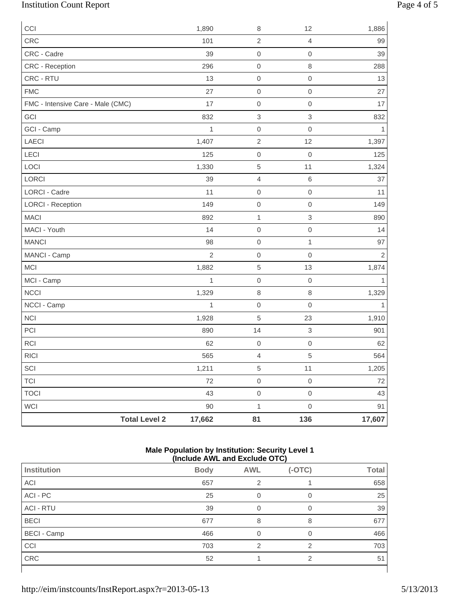# Institution Count Report Page 4 of 5

| CCI                               |                      | 1,890          | $\,8\,$                   | 12               | 1,886        |
|-----------------------------------|----------------------|----------------|---------------------------|------------------|--------------|
| CRC                               |                      | 101            | $\sqrt{2}$                | $\overline{4}$   | 99           |
| CRC - Cadre                       |                      | 39             | $\mathbf 0$               | $\mathbf 0$      | 39           |
| CRC - Reception                   |                      | 296            | $\boldsymbol{0}$          | $\,8\,$          | 288          |
| CRC - RTU                         |                      | 13             | $\mathbf 0$               | $\mathbf 0$      | 13           |
| <b>FMC</b>                        |                      | 27             | $\boldsymbol{0}$          | $\mathbf 0$      | 27           |
| FMC - Intensive Care - Male (CMC) |                      | 17             | $\boldsymbol{0}$          | $\mathbf 0$      | 17           |
| GCI                               |                      | 832            | $\ensuremath{\mathsf{3}}$ | 3                | 832          |
| GCI - Camp                        |                      | 1              | $\boldsymbol{0}$          | $\mathbf 0$      | 1            |
| LAECI                             |                      | 1,407          | $\sqrt{2}$                | 12               | 1,397        |
| LECI                              |                      | 125            | $\mathsf{O}\xspace$       | $\boldsymbol{0}$ | 125          |
| LOCI                              |                      | 1,330          | $\sqrt{5}$                | 11               | 1,324        |
| LORCI                             |                      | 39             | $\sqrt{4}$                | $\,$ 6 $\,$      | 37           |
| <b>LORCI - Cadre</b>              |                      | 11             | $\boldsymbol{0}$          | $\mathbf 0$      | 11           |
| <b>LORCI - Reception</b>          |                      | 149            | $\mbox{O}$                | $\mathbf 0$      | 149          |
| <b>MACI</b>                       |                      | 892            | $\mathbf{1}$              | $\,$ 3 $\,$      | 890          |
| MACI - Youth                      |                      | 14             | $\boldsymbol{0}$          | $\mathbf 0$      | 14           |
| <b>MANCI</b>                      |                      | 98             | $\mathsf{O}\xspace$       | $\mathbf{1}$     | 97           |
| MANCI - Camp                      |                      | $\overline{2}$ | $\boldsymbol{0}$          | $\mathbf 0$      | $\mathbf 2$  |
| MCI                               |                      | 1,882          | $\,$ 5 $\,$               | 13               | 1,874        |
| MCI - Camp                        |                      | $\mathbf{1}$   | $\mathbf 0$               | $\boldsymbol{0}$ | $\mathbf{1}$ |
| <b>NCCI</b>                       |                      | 1,329          | $\,8\,$                   | 8                | 1,329        |
| NCCI - Camp                       |                      | $\mathbf{1}$   | $\mathsf{O}\xspace$       | $\mathbf 0$      | 1            |
| <b>NCI</b>                        |                      | 1,928          | $\overline{5}$            | 23               | 1,910        |
| PCI                               |                      | 890            | 14                        | $\mathsf 3$      | 901          |
| <b>RCI</b>                        |                      | 62             | $\mbox{O}$                | $\mathbf 0$      | 62           |
| RICI                              |                      | 565            | $\overline{4}$            | 5                | 564          |
| SCI                               |                      | 1,211          | $\sqrt{5}$                | 11               | 1,205        |
| <b>TCI</b>                        |                      | 72             | $\mbox{O}$                | $\boldsymbol{0}$ | 72           |
| <b>TOCI</b>                       |                      | 43             | $\mathsf{O}\xspace$       | $\mathbf 0$      | 43           |
| WCI                               |                      | 90             | $\mathbf{1}$              | $\mbox{O}$       | 91           |
|                                   | <b>Total Level 2</b> | 17,662         | 81                        | 136              | 17,607       |

#### **Male Population by Institution: Security Level 1 (Include AWL and Exclude OTC)**

| ,<br>.             |             |               |          |              |
|--------------------|-------------|---------------|----------|--------------|
| Institution        | <b>Body</b> | <b>AWL</b>    | $(-OTC)$ | <b>Total</b> |
| ACI                | 657         | 2             |          | 658          |
| ACI - PC           | 25          | 0             | 0        | 25           |
| <b>ACI - RTU</b>   | 39          | 0             | 0        | 39           |
| <b>BECI</b>        | 677         | 8             | 8        | 677          |
| <b>BECI</b> - Camp | 466         | 0             | 0        | 466          |
| CCI                | 703         | $\mathcal{P}$ | っ        | 703          |
| CRC                | 52          |               | 2        | 51           |
|                    |             |               |          |              |